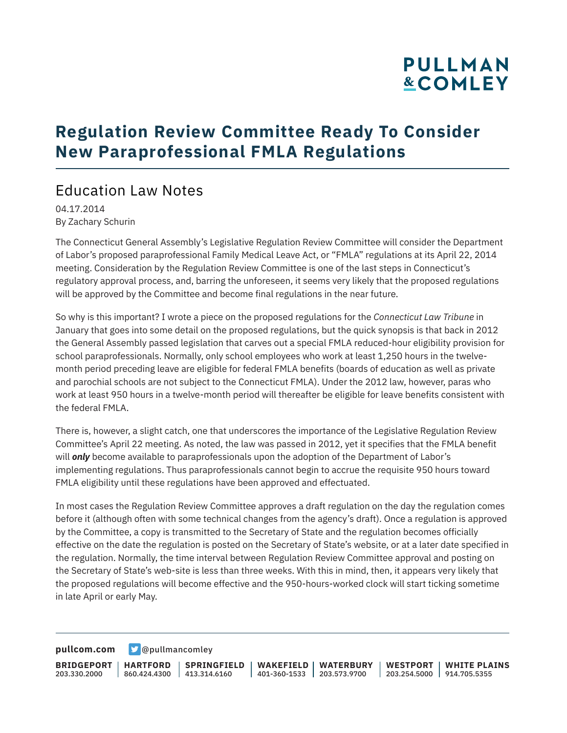# **PULLMAN &COMLEY**

## **Regulation Review Committee Ready To Consider New Paraprofessional FMLA Regulations**

### Education Law Notes

04.17.2014 By Zachary Schurin

The Connecticut General Assembly's Legislative Regulation Review Committee will consider the Department of Labor's proposed paraprofessional Family Medical Leave Act, or "FMLA" regulations at its April 22, 2014 meeting. Consideration by the Regulation Review Committee is one of the last steps in Connecticut's regulatory approval process, and, barring the unforeseen, it seems very likely that the proposed regulations will be approved by the Committee and become final regulations in the near future.

So why is this important? I wrote a piece on the proposed regulations for the *Connecticut Law Tribune* in January that goes into some detail on the proposed regulations, but the quick synopsis is that back in 2012 the General Assembly passed legislation that carves out a special FMLA reduced-hour eligibility provision for school paraprofessionals. Normally, only school employees who work at least 1,250 hours in the twelvemonth period preceding leave are eligible for federal FMLA benefits (boards of education as well as private and parochial schools are not subject to the Connecticut FMLA). Under the 2012 law, however, paras who work at least 950 hours in a twelve-month period will thereafter be eligible for leave benefits consistent with the federal FMLA.

There is, however, a slight catch, one that underscores the importance of the Legislative Regulation Review Committee's April 22 meeting. As noted, the law was passed in 2012, yet it specifies that the FMLA benefit will *only* become available to paraprofessionals upon the adoption of the Department of Labor's implementing regulations. Thus paraprofessionals cannot begin to accrue the requisite 950 hours toward FMLA eligibility until these regulations have been approved and effectuated.

In most cases the Regulation Review Committee approves a draft regulation on the day the regulation comes before it (although often with some technical changes from the agency's draft). Once a regulation is approved by the Committee, a copy is transmitted to the Secretary of State and the regulation becomes officially effective on the date the regulation is posted on the Secretary of State's website, or at a later date specified in the regulation. Normally, the time interval between Regulation Review Committee approval and posting on the Secretary of State's web-site is less than three weeks. With this in mind, then, it appears very likely that the proposed regulations will become effective and the 950-hours-worked clock will start ticking sometime in late April or early May.

**[pullcom.com](https://www.pullcom.com) g** [@pullmancomley](https://twitter.com/PullmanComley)

**BRIDGEPORT** 203.330.2000 **HARTFORD** 860.424.4300 413.314.6160 **SPRINGFIELD WAKEFIELD WATERBURY** 401-360-1533 203.573.9700 **WESTPORT WHITE PLAINS** 203.254.5000 914.705.5355